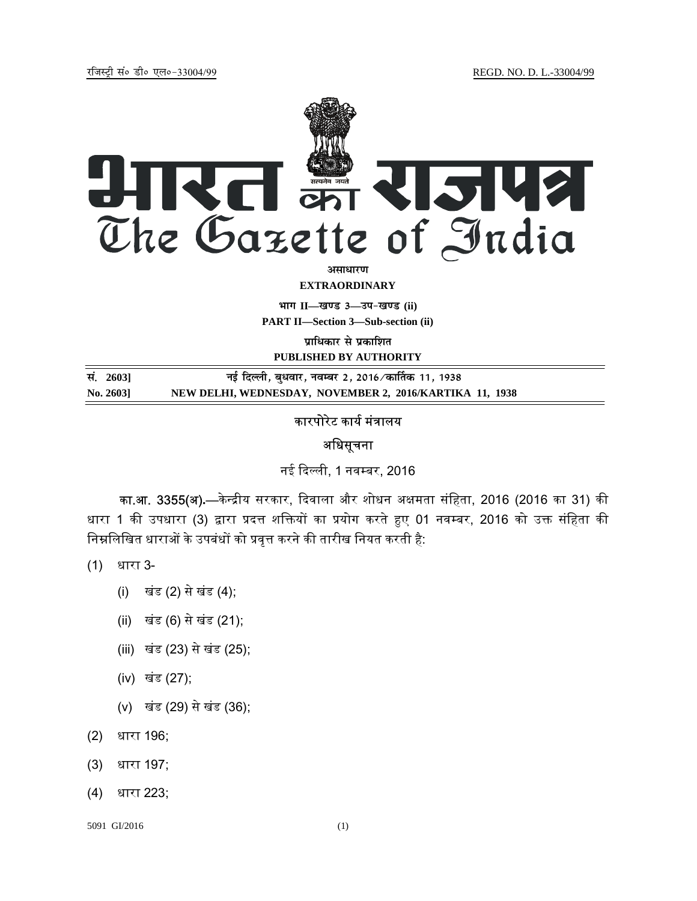jftLVªh laö Mhö ,yö&33004@99 REGD. NO. D. L.-33004/99



असाधा**र**ण **EXTRAORDINARY**

**Hkkx II—[k.M 3—mi&[k.M (ii)**

**PART II—Section 3—Sub-section (ii)** 

**प्राधिकार से प्रकाशित PUBLISHED BY AUTHORITY**

**la- 2603] ubZ fnYyh] cq/okj] uoEcj 2] 2016@dk£rd 11] 1938 No. 2603] NEW DELHI, WEDNESDAY, NOVEMBER 2, 2016/KARTIKA 11, 1938**

## कारपोरेट कार्य मंत्रालय

### अधिसूचना

नई दिल्ली, 1 नवम्बर, 2016

**का.आ. 3355(अ).**—केन्द्रीय सरकार, दिवाला और शोधन अक्षमता संहिता, 2016 (2016 का 31) की धारा 1 की उपधारा (3) द्वारा प्रदत्त शक्तियों का प्रयोग करते हुए 01 नवम्बर, 2016 को उक्त संहिता की निम्नलिखित धाराओं के उपबंधों को प्रवृत्त करने की तारीख नियत करती है:

(1) धारा 3-

- (i) खंड (2) से खंड (4);
- (ii) खंड (6) से खंड (21);
- (iii) खंड (23) से खंड (25);
- (iv) खंड (27);
- (v) खंड (29) से खंड (36);
- (2) धारा 196;
- (3) धारा 197;
- (4) धारा 223;

5091 GI/2016 (1)